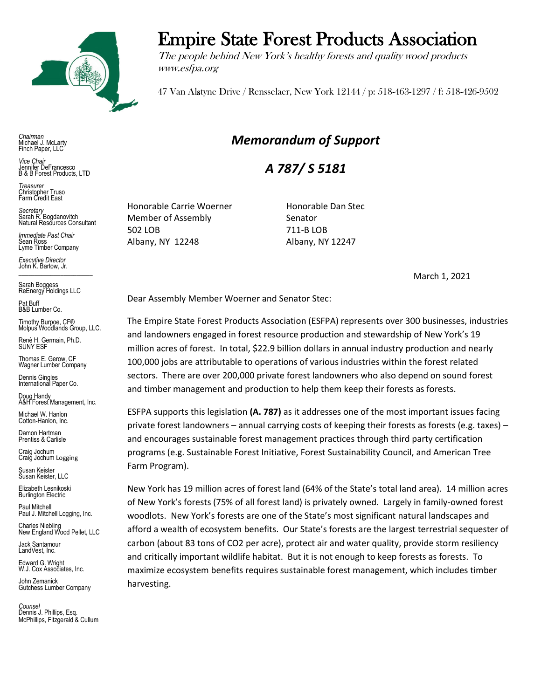

*Chairman* Michael J. McLarty Finch Paper, LLC

*Vice Chair* Jennifer DeFrancesco B & B Forest Products, LTD

*Treasurer* Christopher Truso Farm Credit East

*Secretary* Sarah R. Bogdanovitch Natural Resources Consultant

*Immediate Past Chair* Sean Ross Lyme Timber Company

*Executive Director* John K. Bartow, Jr.  $\mathcal{L}_\text{max}$  , we can also the set of the set of the set of the set of the set of the set of the set of the set of the set of the set of the set of the set of the set of the set of the set of the set of the set of the se

Sarah Boggess ReEnergy Holdings LLC

Pat Buff B&B Lumber Co.

Timothy Burpoe, CF® Molpus Woodlands Group, LLC.

Renè H. Germain, Ph.D. SUNY ESF

Thomas E. Gerow, CF Wagner Lumber Company

Dennis Gingles International Paper Co.

Doug Handy A&H Forest Management, Inc.

Michael W. Hanlon Cotton-Hanlon, Inc.

Damon Hartman Prentiss & Carlisle

Craig Jochum Craig Jochum Logging

Susan Keister Susan Keister, LLC

Elizabeth Lesnikoski **Burlington Electric** 

Paul Mitchell Paul J. Mitchell Logging, Inc.

Charles Niebling New England Wood Pellet, LLC

Jack Santamour LandVest, Inc.

Edward G. Wright W.J. Cox Associates, Inc.

John Zemanick Gutchess Lumber Company

*Counsel* Dennis J. Phillips, Esq. McPhillips, Fitzgerald & Cullum

## Empire State Forest Products Association

The people behind New York's healthy forests and quality wood products www.esfpa.org

47 Van Alstyne Drive / Rensselaer, New York 12144 / p: 518-463-1297 / f: 518-426-9502

## *Memorandum of Support*

*A 787/ S 5181*

Honorable Carrie Woerner **Honorable Dan Stec** Member of Assembly Senator 502 LOB 711-B LOB Albany, NY 12248 Albany, NY 12247

March 1, 2021

Dear Assembly Member Woerner and Senator Stec:

The Empire State Forest Products Association (ESFPA) represents over 300 businesses, industries and landowners engaged in forest resource production and stewardship of New York's 19 million acres of forest. In total, \$22.9 billion dollars in annual industry production and nearly 100,000 jobs are attributable to operations of various industries within the forest related sectors. There are over 200,000 private forest landowners who also depend on sound forest and timber management and production to help them keep their forests as forests.

ESFPA supports this legislation **(A. 787)** as it addresses one of the most important issues facing private forest landowners – annual carrying costs of keeping their forests as forests (e.g. taxes) – and encourages sustainable forest management practices through third party certification programs (e.g. Sustainable Forest Initiative, Forest Sustainability Council, and American Tree Farm Program).

New York has 19 million acres of forest land (64% of the State's total land area). 14 million acres of New York's forests (75% of all forest land) is privately owned. Largely in family-owned forest woodlots. New York's forests are one of the State's most significant natural landscapes and afford a wealth of ecosystem benefits. Our State's forests are the largest terrestrial sequester of carbon (about 83 tons of CO2 per acre), protect air and water quality, provide storm resiliency and critically important wildlife habitat. But it is not enough to keep forests as forests. To maximize ecosystem benefits requires sustainable forest management, which includes timber harvesting.